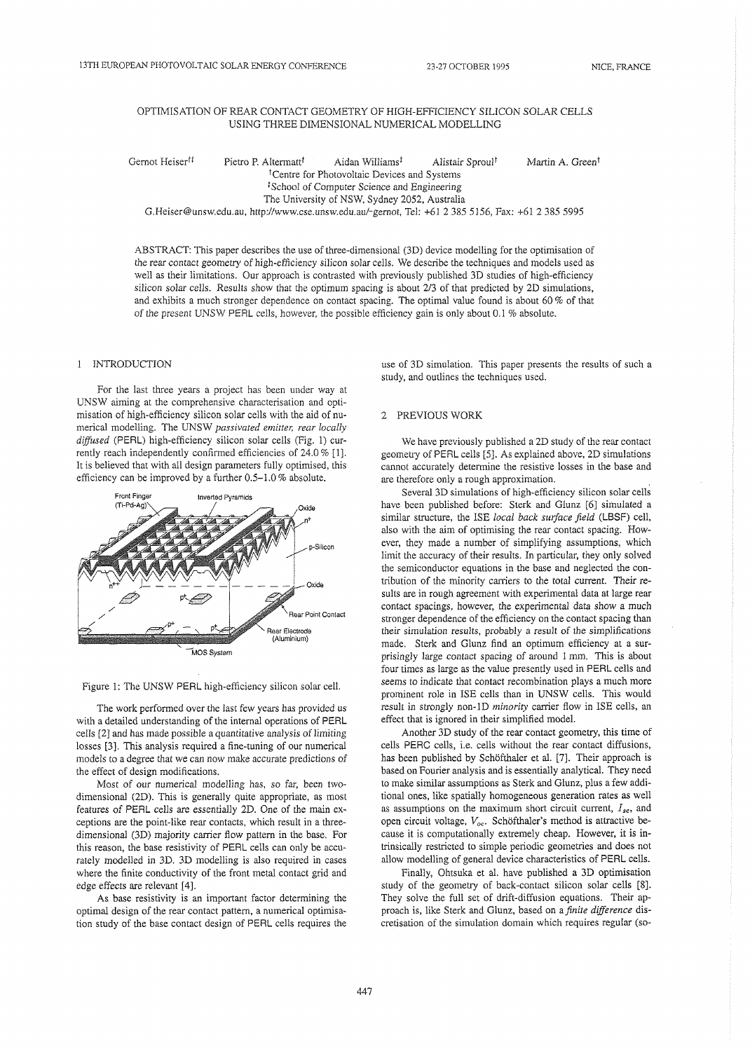## OPTIMISATION OF REAR CONTACT GEOMETRY OF HIGH-EFFICIENCY SILICON SOLAR CELLS USING THREE DIMENSIONAL NUMERICAL MODELLING

Gernot Heiser<sup>tt</sup> Pietro P. Altermatt<sup>t</sup> Aidan Williams<sup>t</sup> Alistair Sproul<sup>†</sup> Martin A. Green<sup>t</sup> <sup>†</sup>Centre for Photovoltaic Devices and Systems <sup>1</sup>School of Computer Science and Engineering The University of NSW, Sydney 2052, Australia G.Heiser@unsw.edu.au, http:Nwww.cse.unsw.edu.au/-gemot, Tel: +61 2 385 5156, Fax: +61 2 385 5995

ABSTRACT: This paper describes the use of three-dimensional (3D) device modelling for the optimisation of the rear contact geometry of high-efficiency silicon solar cells. We describe the techniques and models used as well as their limitations. Our approach is contrasted with previously published 3D studies of high-efficiency silicon solar cells. Results show that the optimum spacing is about 213 of that predicted by 2D simulations, and exhibits a much stronger dependence on contact spacing. The optimal value found is about 60 % of that of the present UNSW PERL cells, however, the possible efficiency gain is only about 0.1 % absolute.

# 1 INTRODUCTION

For the last three years a project has been under way at UNSW aiming at the comprehensive characterisation and optimisation of high-efficiency silicon solar cells with the aid of numerical modelling. The UNSW passivated emitter, rear locally diffused (PERL) high-efficiency silicon solar cells (Fig. 1) currently reach independently confirmed efficiencies of 24.0 % [I]. It is believed that with all design parameters fully optimised, this efficiency can be improved by a further 0.5-1.0 % absolute.



Figure 1: The UNSW PERL high-efficiency silicon solar cell.

The work performed over the last few years has provided us with a detailed understanding of the internal operations of PERL cells [2] and has made possible a quantitative analysis of limiting losses [3]. This analysis required a fine-tuning of our numerical models to a degree that we can now make accurate predictions of the effect of design modifications.

Most of our numerical modelling has, so far, been twodimensional (2D). This is generally quite appropriate, as most features of PERL cells are essentially 2D. One of the main exceptions are the point-like rear contacts, which result in a threedimensional (30) majority carrier flow pattern in the base. For this reason, the base resistivity of PERL cells can only be accurately modelled in 3D. 3D modelling is also required in cases where the finite conductivity of the front metal contact grid and edge effects are relevant [4].

As base resistivity is an important factor determining the optimal design of the rear contact pattern, a numerical optimisation study of the base contact design of PERL cells requires the use of 3D simulation. This paper presents the results of such a study, and outlines the techniques used.

# 2 PREVIOUS WORK

We have previously published a 2D study of the rear contact geometry of PERL cells [5]. As explained above, 2D simulations cannot accurately determine the resistive losses in the base and are therefore only a rough approximation.

Several 3D simulations of high-efficiency silicon solar cells have been published before: Sterk and Glunz [6] simulated a similar structure, the ISE local back surface field (LBSF) cell, also with the aim of optimising the rear contact spacing. However, they made a number of simplifying assumptions, which limit the accuracy of their resuits. In particular, they only solved the semiconductor equations in the base and neglected the contribution of the minority carriers to the total current. Their results are in rough agreement with experimental data at large rear contact spacings, however, the experimental data show a much stronger dependence of the efficiency on the contact spacing than their simulation results, probably a result of the simplifications made. Sterk and Glunz find an optimum efficiency at a surprisingly large contact spacing of around 1 mm. This is about four times as large as the value presently used in PERL cells and seems to indicate that contact recombination plays a much more prominent role in ISE cells than in UNSW cells. This would result in strongly non-1D *minority* carrier flow in ISE cells, an effect that is ignored in their simplified model.

Another 3D study of the rear contact geometry, this time of cells PERC cells, i.e. cells withoui the rear contact diffusions, has been published by Schöfthaler et al. [7]. Their approach is based on Fourier analysis and is essentially analytical. They need to make similar assumptions as Sterk and Glunz, plus a few additional ones, like spatially homogeneous generation rates as well as assumptions on the maximum short circuit current,  $I_{sc}$ , and open circuit voltage,  $V_{oc}$ . Schöfthaler's method is attractive because it is computationally extremely cheap. However, it is intrinsically restricted to simple periodic geometries and does not allow modelling of general device characteristics of PERL cells.

Finally, Ohtsuka et al. have published a 3D optimisation study of the geometry of back-contact silicon solar cells [8]. They solve the full set of drift-diffusion equations. Their approach is, like Sterk and Glunz, based on a *finite difference* discretisation of the simulation domain which requires regular (so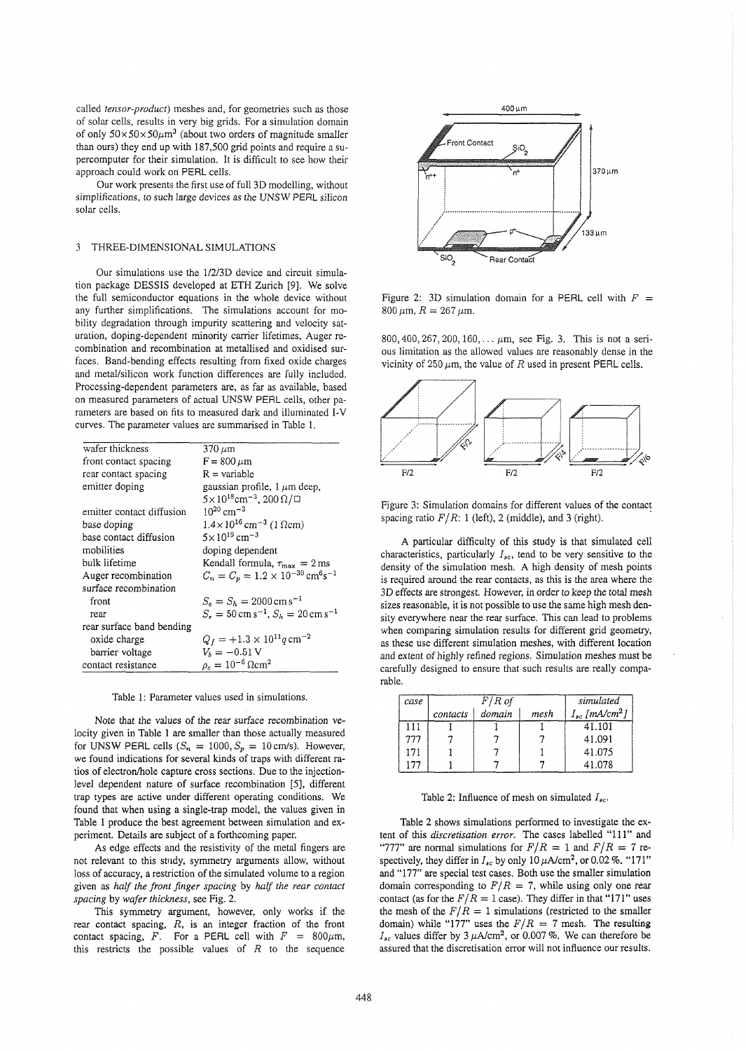called *tensor-product)* meshes and, for geometries such as those of solar cells, results in very big grids. For a simulation domain of only  $50 \times 50 \times 50 \mu m^3$  (about two orders of magnitude smaller than ours) they end up with 187,500 grid points and require a supercomputer for their simulation. It is difficult to see how their approach could work on PERL cells.

Our work presents the first use of full 3D modelling, without simplifications, to such large devices as the UNSW PERL silicon solar cells.

### 3 THREE-DIMENSIONAL SIMULATIONS

Our simulations use the 1/2/3D device and circuit simulation package DESSIS developed at ETH Zurich [9]. We solve the full semiconductor equations in the whole device without any further simplifications. The simulations account for mobility degradation through impurity scattering and velocity saturation, doping-dependent minority carrier lifetimes, Auger recombination and recombination at metallised and oxidised surfaces. Band-bending effects resulting from fixed oxide charges and metal/silicon work function differences are fully included. Processing-dependent parameters are, as far as available, based on measured parameters of actual UNSW PERL cells, other parameters are based on fits to measured dark and illuminated I-V curves. The parameter values are summarised in Table 1.

| wafer thickness           | $370 \,\mu m$                                                |
|---------------------------|--------------------------------------------------------------|
| front contact spacing     | $F = 800 \mu m$                                              |
| rear contact spacing      | $R = variable$                                               |
| emitter doping            | gaussian profile, $1 \mu m$ deep,                            |
|                           | $5 \times 10^{18}$ cm <sup>-3</sup> , 200 Ω/□                |
| emitter contact diffusion | $10^{20}$ cm <sup>-3</sup>                                   |
| base doping               | $1.4 \times 10^{16}$ cm <sup>-3</sup> (1 $\Omega$ cm)        |
| base contact diffusion    | $5 \times 10^{19}$ cm <sup>-3</sup>                          |
| mobilities                | doping dependent                                             |
| bulk lifetime             | Kendall formula, $\tau_{\text{max}} = 2 \,\text{ms}$         |
| Auger recombination       | $C_n = C_p = 1.2 \times 10^{-30} \text{ cm}^6 \text{s}^{-1}$ |
| surface recombination     |                                                              |
| front                     | $S_e = S_h = 2000 \text{ cm s}^{-1}$                         |
| rear                      | $S_e = 50 \text{ cm s}^{-1}$ , $S_h = 20 \text{ cm s}^{-1}$  |
| rear surface band bending |                                                              |
| oxide charge              | $Q_f = +1.3 \times 10^{11} q \text{ cm}^{-2}$                |
| barrier voltage           | $V_{h} = -0.51$ V                                            |
| contact resistance        | $\rho_c = 10^{-6} \Omega \text{cm}^2$                        |

Table 1: Parameter values used in simulations.

Note that the values of the rear surface recombination velocity given in Table 1 are smaller than those actually measured for UNSW PERL cells  $(S_n = 1000, S_p = 10 \text{ cm/s})$ . However, we found indications for several kinds of traps with different ratios of electron/hole capture cross sections. Due to the injectionlevel dependent nature of surface recombination [5], different trap types are active under different operating conditions. We found that when using a single-trap model, the values given in Table 1 produce the best agreement between simulation and experiment. Details are subject of a forthcoming paper.

As edge effects and the resistivity of the metal fingers are not relevant to this study, symmetry arguments allow, without loss of accuracy, a restriction of the simulated volume to a region given as *haIf the front finger spacing* by half *the rear contact spacing* by *wafer thickness,* see Fig. *2.* 

This symmetry argument, however, only works if the rear contact spacing,  $R$ , is an integer fraction of the front contact spacing, F. For a PERL cell with  $F = 800 \mu \text{m}$ , this restricts the possible values of  $R$  to the sequence



Figure 2: 3D simulation domain for a PERL cell with  $F =$  $800 \,\mu \text{m}$ ,  $R = 267 \,\mu \text{m}$ .

800,400,267,200,160,. . . pm, see Fig. **3.** This is not a serious limitation as the allowed values are reasonably dense in the vicinity of 250  $\mu$ m, the value of R used in present PERL cells.



Figure 3: Simulation domains for different values of the contact spacing ratio  $F/R$ : 1 (left), 2 (middle), and 3 (right).

A particular difficulty of this study is that simulated cell characteristics, particularly  $I_{sc}$ , tend to be very sensitive to the density of the simulation mesh. A high density of mesh points is required around the rear contacts, as this is the area where the 3D effects are strongest. However, in order to keep the total mesh sizes reasonable, it is not possible to use the same high mesh density everywhere near the rear surface. This can lead to problems when comparing simulation results for different grid geometry, as these use different simulation meshes, with different location and extent of highly refined regions. Simulation meshes must be carefully designed to ensure that such results are really comparable.

| case |          | $F/R$ of |      | simulated                      |
|------|----------|----------|------|--------------------------------|
|      | contacts | domain   | mesh | $I_{sc}$ [mA/cm <sup>2</sup> ] |
| 111  |          |          |      | 41.101                         |
| 777  |          |          |      | 41.091                         |
| 171  |          |          |      | 41.075                         |
| 177  |          |          |      | 41.078                         |

Table 2: Influence of mesh on simulated  $I_{sc}$ .

Table 2 shows simulations performed to investigate the extent of this *discretisation error*. The cases labelled "111" and "777" are normal simulations for  $F/R = 1$  and  $F/R = 7$  respectively, they differ in  $I_{sc}$  by only 10  $\mu$ A/cm<sup>2</sup>, or 0.02 %. "171" and "177" are special test cases. Both use the smaller simulation domain corresponding to  $F/R = 7$ , while using only one rear contact (as for the  $F/R = 1$  case). They differ in that "171" uses the mesh of the  $F/R = 1$  simulations (restricted to the smaller domain) while "177" uses the  $F/R = 7$  mesh. The resulting  $I_{\text{sc}}$  values differ by 3  $\mu$ A/cm<sup>2</sup>, or 0.007 %. We can therefore be assured that the discretisation error will not influence our results.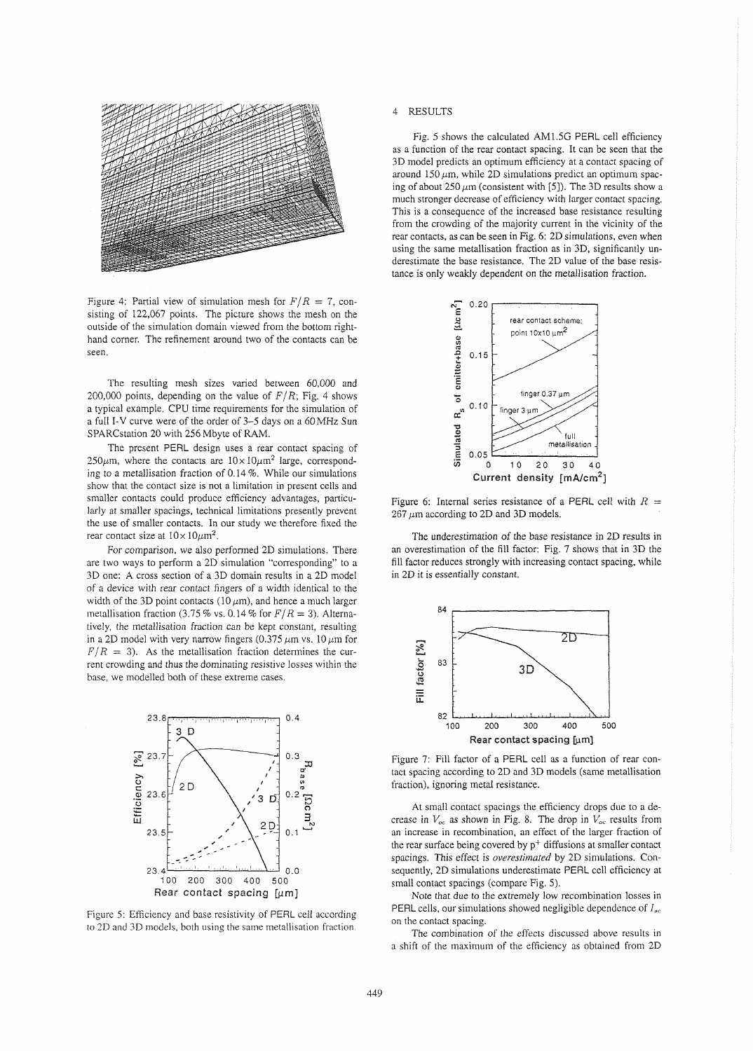

Figure 4: Partial view of simulation mesh for  $F/R = 7$ , consisting of 122,067 points. The picture shows the mesh on the outside of the simulation domain viewed from the bottom righthand corner. The refinement around two of the contacts can be seen.

The resulting mesh sizes varied between 60,000 and 200,000 points, depending on the value of  $F/R$ ; Fig. 4 shows a typical example. CPU time requirements for the simulation of a full I-V curve were of the order of 3-5 days on a 60MHz Sun SPARCstation 20 with 256 Mbyte of RAM.

The present PERL design uses a rear contact spacing of  $250\mu$ m, where the contacts are  $10\times10\mu$ m<sup>2</sup> large, corresponding to a metallisation fraction of 0.14 %. While our simulations show that the contact size is not a limitation in present cells and smaller contacts could produce efficiency advantages, particularly at smaller spacings, technical limitations presently prevent the use of smaller contacts. In our study we therefore fixed the rear contact size at  $10 \times 10 \mu m^2$ .

For comparison, we also performed 2D simulations. There are two ways to perform a 2D simulation "corresponding" to a 3D one: A cross section of a 3D domain results in a 2D model of a device with rear contact fingers of a width identical to the width of the 3D point contacts (10  $\mu$ m), and hence a much larger metallisation fraction (3.75 % vs. 0.14 % for  $F/R = 3$ ). Alternatively, the metallisation fraction can be kept constant, resulting in a 2D model with very narrow fingers (0.375  $\mu$ m vs. 10  $\mu$ m for  $F/R = 3$ ). As the metallisation fraction determines the current crowding and thus the dominating resistive losses within the base, we modelled both of these extreme cases.



Figure *5:* Efficiency and base resistivity of PERL cell according to 2D and 3D models, both using the same metallisation fraction.

### 4 RESULTS

Fig. 5 shows the calculated AM1.5G PERL cell efficiency as a function of the rear contact spacing. It can be seen that the 3D model predicts an optimum efficiency at a contact spacing of around 150  $\mu$ m, while 2D simulations predict an optimum spacing of about 250  $\mu$ m (consistent with [5]). The 3D results show a much stronger decrease of efficiency with larger contact spacing. This is a consequence of the increased base resistance resulting from the crowding of the majority current in the vicinity of the rear contacts, as can be seen in Fig. 6: 2D simulations, even when using the same metallisation fraction as in 3D, significantly underestimate the base resistance. The 2D value of the base resistance is only weakly dependent on the metallisation fraction.



Figure 6: Internal series resistance of a PERL cell with  $R =$  $267 \,\mu m$  according to 2D and 3D models.

The underestimation of the base resistance in 2D results in an overestimation of the fill factor: Fig. 7 shows that in 3D the fill factor reduces strongly with increasing contact spacing, while in 2D it is essentially constant.



Figure 7: Fill factor of a PERL cell as a function of rear contact spacing according to 2D and 3D models (same metallisation fraction), ignoring metal resistance.

At small contact spacings the efficiency drops due to a decrease in  $V_{oc}$  as shown in Fig. 8. The drop in  $V_{oc}$  results from an increase in recombination, an effect of the larger fraction of the rear surface being covered by  $p^+$  diffusions at smaller contact spacings. This effect is overestimated by 2D simulations. Consequently, 2D simulations underestimate PERL cell efficiency at small contact spacings (compare Fig. 5).

Note that due to the extremely low recombination losses in PERL cells, our simulations showed negligible dependence of  $I_{sc}$ on the contact spacing.

The combination of the effects discussed above results in a shift of the maximum of the efficiency as obtained from 2D